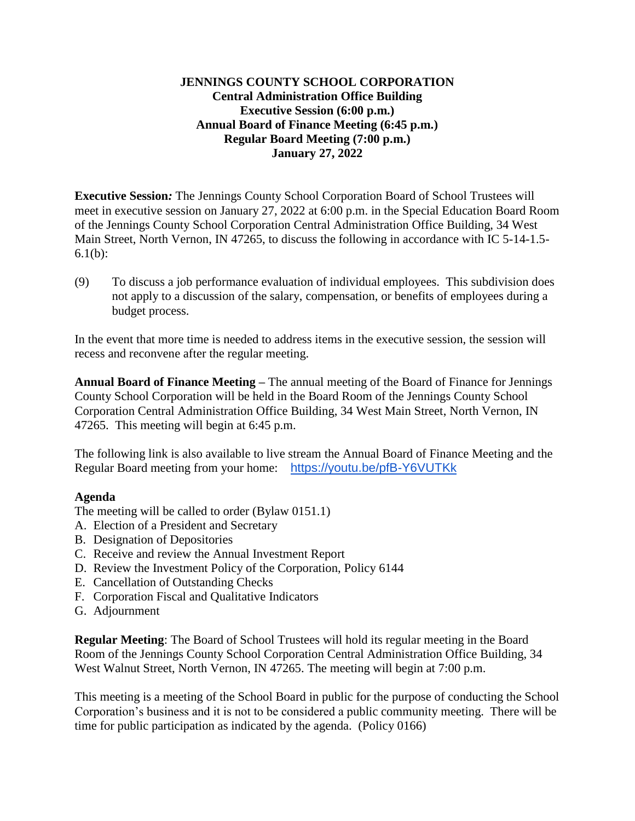## **JENNINGS COUNTY SCHOOL CORPORATION Central Administration Office Building Executive Session (6:00 p.m.) Annual Board of Finance Meeting (6:45 p.m.) Regular Board Meeting (7:00 p.m.) January 27, 2022**

**Executive Session***:* The Jennings County School Corporation Board of School Trustees will meet in executive session on January 27, 2022 at 6:00 p.m. in the Special Education Board Room of the Jennings County School Corporation Central Administration Office Building, 34 West Main Street, North Vernon, IN 47265, to discuss the following in accordance with IC 5-14-1.5- 6.1(b):

(9) To discuss a job performance evaluation of individual employees. This subdivision does not apply to a discussion of the salary, compensation, or benefits of employees during a budget process.

In the event that more time is needed to address items in the executive session, the session will recess and reconvene after the regular meeting.

**Annual Board of Finance Meeting –** The annual meeting of the Board of Finance for Jennings County School Corporation will be held in the Board Room of the Jennings County School Corporation Central Administration Office Building, 34 West Main Street, North Vernon, IN 47265. This meeting will begin at 6:45 p.m.

The following link is also available to live stream the Annual Board of Finance Meeting and the Regular Board meeting from your home: <https://youtu.be/pfB-Y6VUTKk>

## **Agenda**

The meeting will be called to order (Bylaw 0151.1)

- A. Election of a President and Secretary
- B. Designation of Depositories
- C. Receive and review the Annual Investment Report
- D. Review the Investment Policy of the Corporation, Policy 6144
- E. Cancellation of Outstanding Checks
- F. Corporation Fiscal and Qualitative Indicators
- G. Adjournment

**Regular Meeting**: The Board of School Trustees will hold its regular meeting in the Board Room of the Jennings County School Corporation Central Administration Office Building, 34 West Walnut Street, North Vernon, IN 47265. The meeting will begin at 7:00 p.m.

This meeting is a meeting of the School Board in public for the purpose of conducting the School Corporation's business and it is not to be considered a public community meeting. There will be time for public participation as indicated by the agenda. (Policy 0166)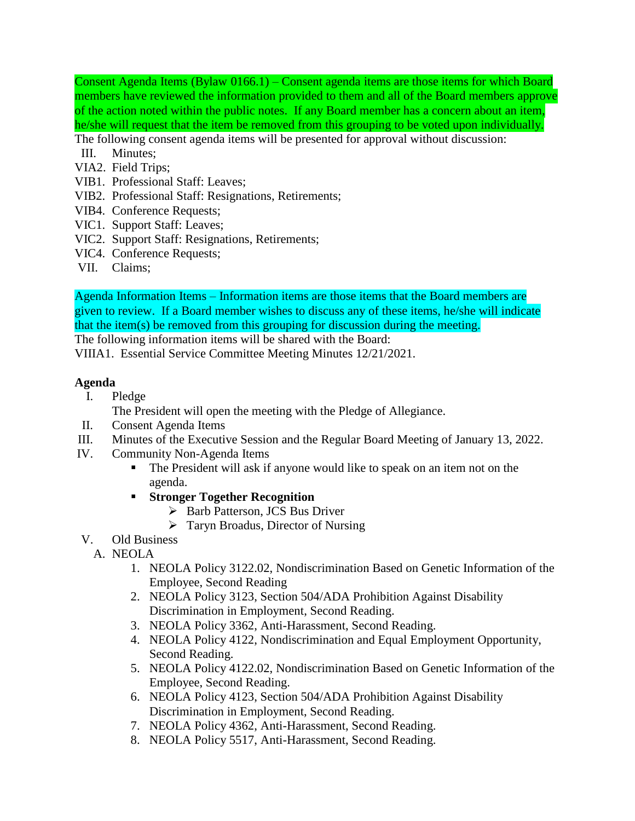Consent Agenda Items (Bylaw 0166.1) – Consent agenda items are those items for which Board members have reviewed the information provided to them and all of the Board members approve of the action noted within the public notes. If any Board member has a concern about an item, he/she will request that the item be removed from this grouping to be voted upon individually. The following consent agenda items will be presented for approval without discussion:

- III. Minutes;
- VIA2. Field Trips;
- VIB1. Professional Staff: Leaves;
- VIB2. Professional Staff: Resignations, Retirements;
- VIB4. Conference Requests;
- VIC1. Support Staff: Leaves;
- VIC2. Support Staff: Resignations, Retirements;
- VIC4. Conference Requests;
- VII. Claims;

Agenda Information Items – Information items are those items that the Board members are given to review. If a Board member wishes to discuss any of these items, he/she will indicate that the item(s) be removed from this grouping for discussion during the meeting.

The following information items will be shared with the Board:

VIIIA1. Essential Service Committee Meeting Minutes 12/21/2021.

## **Agenda**

I. Pledge

The President will open the meeting with the Pledge of Allegiance.

- II. Consent Agenda Items
- III. Minutes of the Executive Session and the Regular Board Meeting of January 13, 2022.
- IV. Community Non-Agenda Items
	- The President will ask if anyone would like to speak on an item not on the agenda.
	- **Stronger Together Recognition**
		- ▶ Barb Patterson, JCS Bus Driver
		- $\triangleright$  Taryn Broadus, Director of Nursing
- V. Old Business
	- A. NEOLA
		- 1. NEOLA Policy 3122.02, Nondiscrimination Based on Genetic Information of the Employee, Second Reading
		- 2. NEOLA Policy 3123, Section 504/ADA Prohibition Against Disability Discrimination in Employment, Second Reading.
		- 3. NEOLA Policy 3362, Anti-Harassment, Second Reading.
		- 4. NEOLA Policy 4122, Nondiscrimination and Equal Employment Opportunity, Second Reading.
		- 5. NEOLA Policy 4122.02, Nondiscrimination Based on Genetic Information of the Employee, Second Reading.
		- 6. NEOLA Policy 4123, Section 504/ADA Prohibition Against Disability Discrimination in Employment, Second Reading.
		- 7. NEOLA Policy 4362, Anti-Harassment, Second Reading.
		- 8. NEOLA Policy 5517, Anti-Harassment, Second Reading.